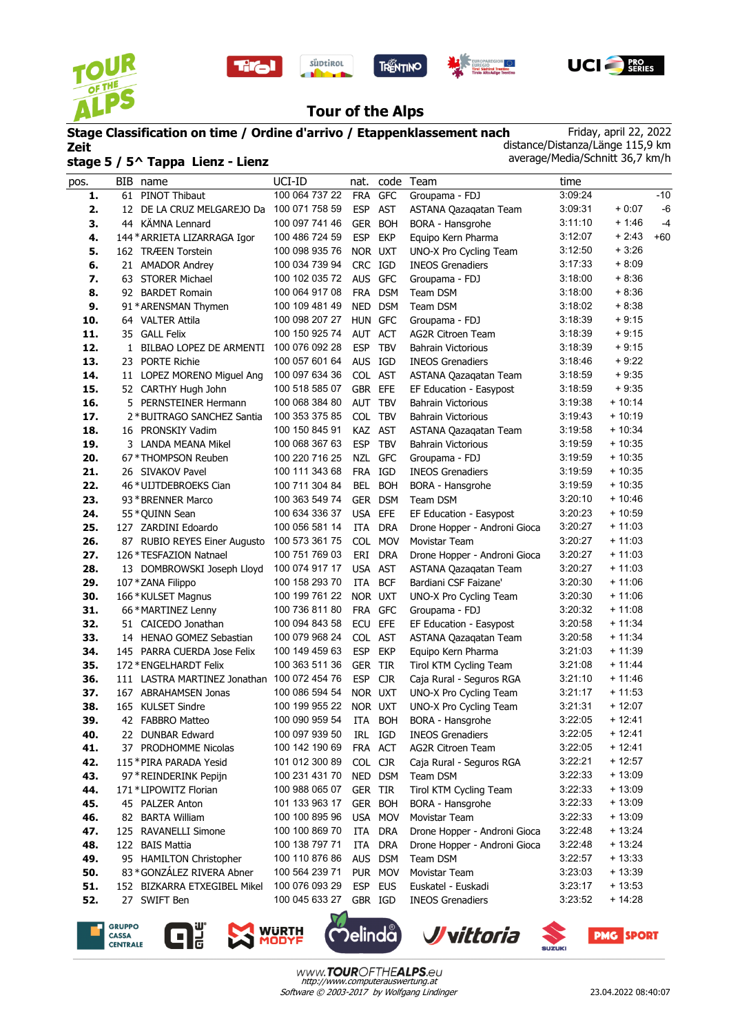









# **Tour of the Alps**

**Stage Classification on time / Ordine d'arrivo / Etappenklassement nach Zeit stage 5 / 5^ Tappa Lienz - Lienz** Friday, april 22, 2022 distance/Distanza/Länge 115,9 km average/Media/Schnitt 36,7 km/h

| pos. | BIB name                                    | UCI-ID         | nat.       |            | code Team                    | time    |          |       |
|------|---------------------------------------------|----------------|------------|------------|------------------------------|---------|----------|-------|
| 1.   | 61<br>PINOT Thibaut                         | 100 064 737 22 | <b>FRA</b> | <b>GFC</b> | Groupama - FDJ               | 3:09:24 |          | $-10$ |
| 2.   | 12 DE LA CRUZ MELGAREJO Da                  | 100 071 758 59 | <b>ESP</b> | <b>AST</b> | ASTANA Qazaqatan Team        | 3:09:31 | $+0.07$  | $-6$  |
| 3.   | 44 KÄMNA Lennard                            | 100 097 741 46 | <b>GER</b> | <b>BOH</b> | BORA - Hansgrohe             | 3:11:10 | + 1:46   | $-4$  |
| 4.   | 144 * ARRIETA LIZARRAGA Igor                | 100 486 724 59 | <b>ESP</b> | <b>EKP</b> | Equipo Kern Pharma           | 3:12:07 | $+2:43$  | $+60$ |
| 5.   | 162 TRÆEN Torstein                          | 100 098 935 76 | NOR UXT    |            | UNO-X Pro Cycling Team       | 3:12:50 | $+3.26$  |       |
| 6.   | 21 AMADOR Andrey                            | 100 034 739 94 | CRC IGD    |            | <b>INEOS Grenadiers</b>      | 3:17:33 | $+8:09$  |       |
| 7.   | 63 STORER Michael                           | 100 102 035 72 | <b>AUS</b> | <b>GFC</b> | Groupama - FDJ               | 3:18:00 | $+8:36$  |       |
| 8.   | 92 BARDET Romain                            | 100 064 917 08 | FRA        | <b>DSM</b> | Team DSM                     | 3:18:00 | $+8:36$  |       |
| 9.   | 91 * ARENSMAN Thymen                        | 100 109 481 49 | <b>NED</b> | <b>DSM</b> | Team DSM                     | 3:18:02 | $+8.38$  |       |
| 10.  | 64 VALTER Attila                            | 100 098 207 27 | HUN GFC    |            | Groupama - FDJ               | 3:18:39 | $+9:15$  |       |
| 11.  | 35 GALL Felix                               | 100 150 925 74 | AUT ACT    |            | <b>AG2R Citroen Team</b>     | 3:18:39 | $+9:15$  |       |
| 12.  | 1 BILBAO LOPEZ DE ARMENTI                   | 100 076 092 28 | <b>ESP</b> | <b>TBV</b> | <b>Bahrain Victorious</b>    | 3:18:39 | $+9:15$  |       |
| 13.  | 23 PORTE Richie                             | 100 057 601 64 | <b>AUS</b> | IGD        | <b>INEOS Grenadiers</b>      | 3:18:46 | $+9:22$  |       |
| 14.  | 11 LOPEZ MORENO Miguel Ang                  | 100 097 634 36 | COL AST    |            | ASTANA Qazaqatan Team        | 3:18:59 | $+9:35$  |       |
| 15.  | 52 CARTHY Hugh John                         | 100 518 585 07 | <b>GBR</b> | EFE        | EF Education - Easypost      | 3:18:59 | $+9:35$  |       |
| 16.  | 5 PERNSTEINER Hermann                       | 100 068 384 80 | <b>AUT</b> | <b>TBV</b> | <b>Bahrain Victorious</b>    | 3:19:38 | $+10:14$ |       |
| 17.  | 2 * BUITRAGO SANCHEZ Santia                 | 100 353 375 85 | COL TBV    |            | <b>Bahrain Victorious</b>    | 3:19:43 | $+10:19$ |       |
| 18.  | 16 PRONSKIY Vadim                           | 100 150 845 91 | KAZ AST    |            | ASTANA Qazaqatan Team        | 3:19:58 | $+10:34$ |       |
| 19.  | 3 LANDA MEANA Mikel                         | 100 068 367 63 | <b>ESP</b> | <b>TBV</b> | <b>Bahrain Victorious</b>    | 3:19:59 | $+10:35$ |       |
| 20.  | 67 * THOMPSON Reuben                        | 100 220 716 25 |            | NZL GFC    | Groupama - FDJ               | 3:19:59 | $+10:35$ |       |
| 21.  | 26 SIVAKOV Pavel                            | 100 111 343 68 | FRA IGD    |            | <b>INEOS Grenadiers</b>      | 3:19:59 | $+10:35$ |       |
| 22.  | 46 *UIJTDEBROEKS Cian                       | 100 711 304 84 | BEL        | <b>BOH</b> | BORA - Hansgrohe             | 3:19:59 | $+10:35$ |       |
| 23.  | 93 * BRENNER Marco                          | 100 363 549 74 | <b>GER</b> | <b>DSM</b> | Team DSM                     | 3:20:10 | $+10:46$ |       |
| 24.  | 55 * QUINN Sean                             | 100 634 336 37 | <b>USA</b> | EFE        | EF Education - Easypost      | 3:20:23 | $+10:59$ |       |
| 25.  | 127 ZARDINI Edoardo                         | 100 056 581 14 | ITA        | <b>DRA</b> | Drone Hopper - Androni Gioca | 3:20:27 | $+11:03$ |       |
| 26.  | 87 RUBIO REYES Einer Augusto                | 100 573 361 75 | COL        | <b>MOV</b> | Movistar Team                | 3:20:27 | $+11:03$ |       |
| 27.  | 126 * TESFAZION Natnael                     | 100 751 769 03 | ERI        | <b>DRA</b> | Drone Hopper - Androni Gioca | 3:20:27 | $+11:03$ |       |
| 28.  | 13 DOMBROWSKI Joseph Lloyd                  | 100 074 917 17 | USA AST    |            | ASTANA Qazagatan Team        | 3:20:27 | $+11:03$ |       |
| 29.  | 107 * ZANA Filippo                          | 100 158 293 70 | ITA        | <b>BCF</b> | Bardiani CSF Faizane'        | 3:20:30 | $+11:06$ |       |
| 30.  | 166 *KULSET Magnus                          | 100 199 761 22 | NOR UXT    |            | UNO-X Pro Cycling Team       | 3:20:30 | $+11:06$ |       |
| 31.  | 66 * MARTINEZ Lenny                         | 100 736 811 80 | FRA        | <b>GFC</b> | Groupama - FDJ               | 3:20:32 | $+11:08$ |       |
| 32.  | 51 CAICEDO Jonathan                         | 100 094 843 58 | <b>ECU</b> | EFE        | EF Education - Easypost      | 3:20:58 | $+11:34$ |       |
| 33.  | 14 HENAO GOMEZ Sebastian                    | 100 079 968 24 | COL AST    |            | ASTANA Qazagatan Team        | 3:20:58 | $+11:34$ |       |
| 34.  | 145 PARRA CUERDA Jose Felix                 | 100 149 459 63 | <b>ESP</b> | <b>EKP</b> | Equipo Kern Pharma           | 3:21:03 | $+11:39$ |       |
| 35.  | 172 * ENGELHARDT Felix                      | 100 363 511 36 | <b>GER</b> | TIR        | Tirol KTM Cycling Team       | 3:21:08 | $+11.44$ |       |
| 36.  | 111 LASTRA MARTINEZ Jonathan 100 072 454 76 |                | <b>ESP</b> | <b>CJR</b> | Caja Rural - Seguros RGA     | 3:21:10 | $+11:46$ |       |
| 37.  | 167 ABRAHAMSEN Jonas                        | 100 086 594 54 | NOR UXT    |            | UNO-X Pro Cycling Team       | 3:21:17 | $+11:53$ |       |
| 38.  | 165 KULSET Sindre                           | 100 199 955 22 | NOR UXT    |            | UNO-X Pro Cycling Team       | 3:21:31 | $+12:07$ |       |
| 39.  | 42 FABBRO Matteo                            | 100 090 959 54 | ITA        | <b>BOH</b> | BORA - Hansgrohe             | 3:22:05 | $+12:41$ |       |
| 40.  | 22 DUNBAR Edward                            | 100 097 939 50 |            | IRL IGD    | <b>INEOS Grenadiers</b>      | 3:22:05 | $+12:41$ |       |
| 41.  | 37 PRODHOMME Nicolas                        | 100 142 190 69 |            | FRA ACT    | <b>AG2R Citroen Team</b>     | 3:22:05 | $+12:41$ |       |
| 42.  | 115 * PIRA PARADA Yesid                     | 101 012 300 89 | COL CJR    |            | Caja Rural - Seguros RGA     | 3:22:21 | $+12:57$ |       |
| 43.  | 97 * REINDERINK Pepijn                      | 100 231 431 70 |            | NED DSM    | Team DSM                     | 3:22:33 | $+13:09$ |       |
| 44.  | 171 * LIPOWITZ Florian                      | 100 988 065 07 | GER TIR    |            | Tirol KTM Cycling Team       | 3:22:33 | $+13:09$ |       |
| 45.  | 45 PALZER Anton                             | 101 133 963 17 |            | GER BOH    | BORA - Hansgrohe             | 3:22:33 | $+13:09$ |       |
| 46.  | 82 BARTA William                            | 100 100 895 96 |            | USA MOV    | Movistar Team                | 3:22:33 | $+13:09$ |       |
| 47.  | 125 RAVANELLI Simone                        | 100 100 869 70 | ITA        | <b>DRA</b> | Drone Hopper - Androni Gioca | 3:22:48 | $+13:24$ |       |
| 48.  | 122 BAIS Mattia                             | 100 138 797 71 | ITA        | DRA        | Drone Hopper - Androni Gioca | 3:22:48 | $+13:24$ |       |
| 49.  | 95 HAMILTON Christopher                     | 100 110 876 86 |            | AUS DSM    | Team DSM                     | 3:22:57 | $+13:33$ |       |
| 50.  | 83 * GONZÁLEZ RIVERA Abner                  | 100 564 239 71 |            | PUR MOV    | Movistar Team                | 3:23:03 | $+13:39$ |       |
| 51.  | 152 BIZKARRA ETXEGIBEL Mikel                | 100 076 093 29 |            | ESP EUS    | Euskatel - Euskadi           | 3:23:17 | $+13:53$ |       |
| 52.  | 27 SWIFT Ben                                | 100 045 633 27 | GBR IGD    |            | <b>INEOS Grenadiers</b>      | 3:23:52 | $+14.28$ |       |
|      |                                             |                |            |            |                              |         |          |       |

**GRUPPO** CASSA<br>CASSA<br>CENTRALE





 $\mathsf{Delind}\mathring{\mathsf{a}}$  )

*J* vittoria

**PMG SPORT**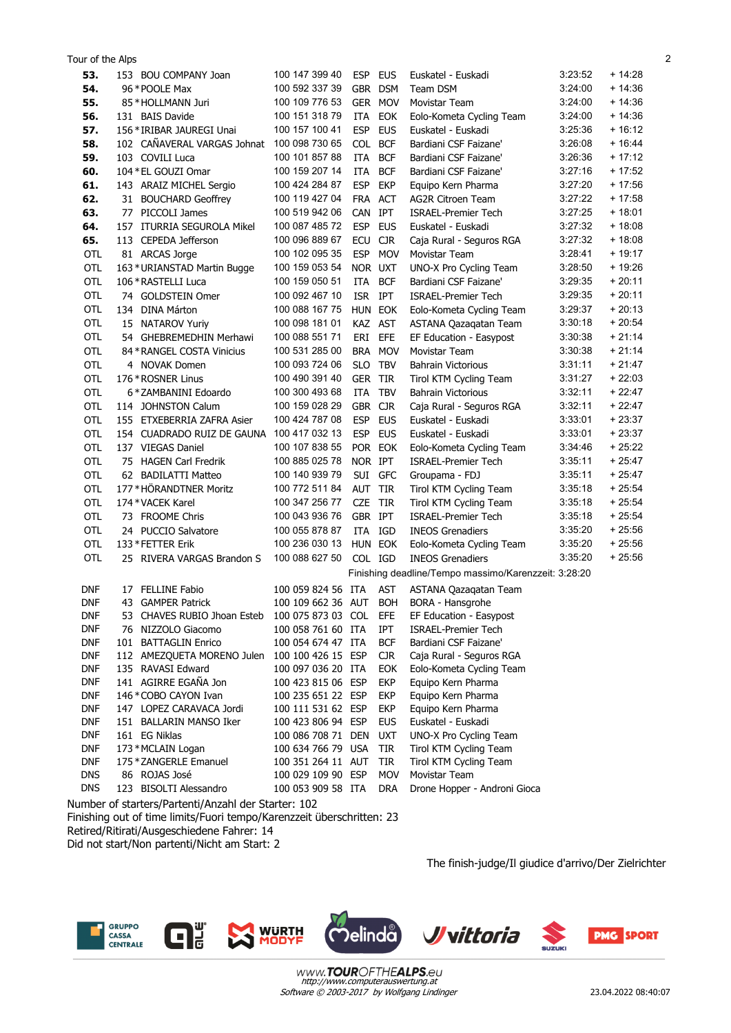| Tour of the Alps |                              |                    |            |            |                                                      |         |          | 2 |
|------------------|------------------------------|--------------------|------------|------------|------------------------------------------------------|---------|----------|---|
| 53.              | 153 BOU COMPANY Joan         | 100 147 399 40     | ESP EUS    |            | Euskatel - Euskadi                                   | 3:23:52 | + 14:28  |   |
| 54.              | 96 * POOLE Max               | 100 592 337 39     | GBR DSM    |            | Team DSM                                             | 3:24:00 | + 14:36  |   |
| 55.              | 85 * HOLLMANN Juri           | 100 109 776 53     |            | GER MOV    | Movistar Team                                        | 3:24:00 | $+14.36$ |   |
| 56.              | 131 BAIS Davide              | 100 151 318 79     | ITA        | EOK        | Eolo-Kometa Cycling Team                             | 3:24:00 | + 14:36  |   |
| 57.              | 156 * IRIBAR JAUREGI Unai    | 100 157 100 41     | <b>ESP</b> | <b>EUS</b> | Euskatel - Euskadi                                   | 3:25:36 | $+16:12$ |   |
| 58.              | 102 CAÑAVERAL VARGAS Johnat  | 100 098 730 65     | COL BCF    |            | Bardiani CSF Faizane'                                | 3:26:08 | $+16:44$ |   |
| 59.              | 103 COVILI Luca              | 100 101 857 88     | ITA        | <b>BCF</b> | Bardiani CSF Faizane'                                | 3.26.36 | $+17:12$ |   |
| 60.              | 104 * EL GOUZI Omar          | 100 159 207 14     | <b>ITA</b> | <b>BCF</b> | Bardiani CSF Faizane'                                | 3:27:16 | $+17:52$ |   |
| 61.              | 143 ARAIZ MICHEL Sergio      | 100 424 284 87     | <b>ESP</b> | <b>EKP</b> | Equipo Kern Pharma                                   | 3:27:20 | $+17:56$ |   |
| 62.              | 31 BOUCHARD Geoffrey         | 100 119 427 04     | FRA ACT    |            | <b>AG2R Citroen Team</b>                             | 3:27:22 | $+17:58$ |   |
| 63.              | 77 PICCOLI James             | 100 519 942 06     | CAN IPT    |            | <b>ISRAEL-Premier Tech</b>                           | 3:27:25 | $+18:01$ |   |
| 64.              | 157 ITURRIA SEGUROLA Mikel   | 100 087 485 72     | <b>ESP</b> | <b>EUS</b> | Euskatel - Euskadi                                   | 3:27:32 | $+18:08$ |   |
| 65.              | 113 CEPEDA Jefferson         | 100 096 889 67     | ECU        | <b>CJR</b> | Caja Rural - Seguros RGA                             | 3:27:32 | $+18:08$ |   |
| OTL              | 81 ARCAS Jorge               | 100 102 095 35     | <b>ESP</b> | <b>MOV</b> | Movistar Team                                        | 3:28:41 | + 19:17  |   |
| OTL              | 163 * URIANSTAD Martin Bugge | 100 159 053 54     | NOR UXT    |            | UNO-X Pro Cycling Team                               | 3:28:50 | + 19:26  |   |
| OTL              | 106 * RASTELLI Luca          | 100 159 050 51     | ITA        | <b>BCF</b> | Bardiani CSF Faizane'                                | 3:29:35 | $+20:11$ |   |
| <b>OTL</b>       | 74 GOLDSTEIN Omer            | 100 092 467 10     | ISR IPT    |            | <b>ISRAEL-Premier Tech</b>                           | 3:29:35 | $+20:11$ |   |
| OTL              | 134 DINA Márton              | 100 088 167 75     | HUN EOK    |            | Eolo-Kometa Cycling Team                             | 3:29:37 | $+20:13$ |   |
| OTL              | 15 NATAROV Yuriy             | 100 098 181 01     | KAZ AST    |            | ASTANA Qazaqatan Team                                | 3:30:18 | $+20:54$ |   |
| OTL              | 54 GHEBREMEDHIN Merhawi      | 100 088 551 71     | ERI        | EFE        | EF Education - Easypost                              | 3:30:38 | $+21:14$ |   |
| OTL              | 84 * RANGEL COSTA Vinicius   | 100 531 285 00     | BRA MOV    |            | Movistar Team                                        | 3:30:38 | $+21:14$ |   |
| OTL              | 4 NOVAK Domen                | 100 093 724 06     | <b>SLO</b> | <b>TBV</b> | <b>Bahrain Victorious</b>                            | 3:31:11 | $+21.47$ |   |
| OTL              | 176 * ROSNER Linus           | 100 490 391 40     | GER TIR    |            | Tirol KTM Cycling Team                               | 3:31:27 | $+22:03$ |   |
| <b>OTL</b>       | 6 * ZAMBANINI Edoardo        | 100 300 493 68     | ITA        | <b>TBV</b> | <b>Bahrain Victorious</b>                            | 3:32:11 | $+22:47$ |   |
| <b>OTL</b>       | 114 JOHNSTON Calum           | 100 159 028 29     | GBR CJR    |            | Caja Rural - Seguros RGA                             | 3:32:11 | $+22:47$ |   |
| <b>OTL</b>       | 155 ETXEBERRIA ZAFRA Asier   | 100 424 787 08     | <b>ESP</b> | <b>EUS</b> | Euskatel - Euskadi                                   | 3:33:01 | $+23:37$ |   |
| <b>OTL</b>       | 154 CUADRADO RUIZ DE GAUNA   | 100 417 032 13     | ESP EUS    |            | Euskatel - Euskadi                                   | 3:33:01 | $+23:37$ |   |
| OTL              | 137 VIEGAS Daniel            | 100 107 838 55     | POR EOK    |            | Eolo-Kometa Cycling Team                             | 3:34:46 | $+25:22$ |   |
| OTL              | 75 HAGEN Carl Fredrik        | 100 885 025 78     | NOR IPT    |            | <b>ISRAEL-Premier Tech</b>                           | 3:35:11 | $+25:47$ |   |
| <b>OTL</b>       | 62 BADILATTI Matteo          | 100 140 939 79     | SUI GFC    |            | Groupama - FDJ                                       | 3:35:11 | $+25:47$ |   |
| OTL              | 177*HÖRANDTNER Moritz        | 100 772 511 84     | AUT TIR    |            | Tirol KTM Cycling Team                               | 3:35:18 | $+25:54$ |   |
| OTL              | 174 * VACEK Karel            | 100 347 256 77     | <b>CZE</b> | TIR        | Tirol KTM Cycling Team                               | 3:35:18 | $+25:54$ |   |
| <b>OTL</b>       | 73 FROOME Chris              | 100 043 936 76     | GBR IPT    |            | <b>ISRAEL-Premier Tech</b>                           | 3:35:18 | $+25:54$ |   |
| <b>OTL</b>       | 24 PUCCIO Salvatore          | 100 055 878 87     | ITA IGD    |            | <b>INEOS Grenadiers</b>                              | 3.35.20 | $+25:56$ |   |
| OTL              | 133 * FETTER Erik            | 100 236 030 13     | HUN EOK    |            | Eolo-Kometa Cycling Team                             | 3:35:20 | $+25:56$ |   |
| <b>OTL</b>       | 25 RIVERA VARGAS Brandon S   | 100 088 627 50     | COL IGD    |            | <b>INEOS Grenadiers</b>                              | 3:35:20 | $+25:56$ |   |
|                  |                              |                    |            |            | Finishing deadline/Tempo massimo/Karenzzeit: 3:28:20 |         |          |   |
| <b>DNF</b>       | 17 FELLINE Fabio             | 100 059 824 56 ITA |            | <b>AST</b> | ASTANA Qazagatan Team                                |         |          |   |
| <b>DNF</b>       | 43 GAMPER Patrick            | 100 109 662 36 AUT |            | <b>BOH</b> | BORA - Hansgrohe                                     |         |          |   |
| <b>DNF</b>       | 53 CHAVES RUBIO Jhoan Esteb  | 100 075 873 03 COL |            | EFE        | EF Education - Easypost                              |         |          |   |
| <b>DNF</b>       | 76 NIZZOLO Giacomo           | 100 058 761 60 ITA |            | IPT        | <b>ISRAEL-Premier Tech</b>                           |         |          |   |
| <b>DNF</b>       | 101 BATTAGLIN Enrico         | 100 054 674 47 ITA |            | <b>BCF</b> | Bardiani CSF Faizane'                                |         |          |   |
| <b>DNF</b>       | 112 AMEZQUETA MORENO Julen   | 100 100 426 15 ESP |            | <b>CJR</b> | Caja Rural - Seguros RGA                             |         |          |   |
| <b>DNF</b>       | 135 RAVASI Edward            | 100 097 036 20 ITA |            | EOK        | Eolo-Kometa Cycling Team                             |         |          |   |
| <b>DNF</b>       | 141 AGIRRE EGAÑA Jon         | 100 423 815 06 ESP |            | <b>EKP</b> | Equipo Kern Pharma                                   |         |          |   |
| <b>DNF</b>       | 146 * COBO CAYON Ivan        | 100 235 651 22 ESP |            | <b>EKP</b> | Equipo Kern Pharma                                   |         |          |   |
| <b>DNF</b>       | 147 LOPEZ CARAVACA Jordi     | 100 111 531 62 ESP |            | <b>EKP</b> | Equipo Kern Pharma                                   |         |          |   |
| <b>DNF</b>       | 151 BALLARIN MANSO Iker      | 100 423 806 94 ESP |            | <b>EUS</b> | Euskatel - Euskadi                                   |         |          |   |
| <b>DNF</b>       | 161 EG Niklas                | 100 086 708 71 DEN |            | <b>UXT</b> | UNO-X Pro Cycling Team                               |         |          |   |
| <b>DNF</b>       | 173 * MCLAIN Logan           | 100 634 766 79 USA |            | <b>TIR</b> | Tirol KTM Cycling Team                               |         |          |   |
| <b>DNF</b>       | 175 * ZANGERLE Emanuel       | 100 351 264 11 AUT |            | TIR        | Tirol KTM Cycling Team                               |         |          |   |
| <b>DNS</b>       | 86 ROJAS José                | 100 029 109 90 ESP |            | <b>MOV</b> | Movistar Team                                        |         |          |   |
| <b>DNS</b>       | 123 BISOLTI Alessandro       | 100 053 909 58 ITA |            | DRA        | Drone Hopper - Androni Gioca                         |         |          |   |

Number of starters/Partenti/Anzahl der Starter: 102 Finishing out of time limits/Fuori tempo/Karenzzeit überschritten: 23 Retired/Ritirati/Ausgeschiedene Fahrer: 14 Did not start/Non partenti/Nicht am Start: 2

The finish-judge/Il giudice d'arrivo/Der Zielrichter





 $\mathbf{G}^{\text{\tiny U}}_{\text{\tiny E}}$ 





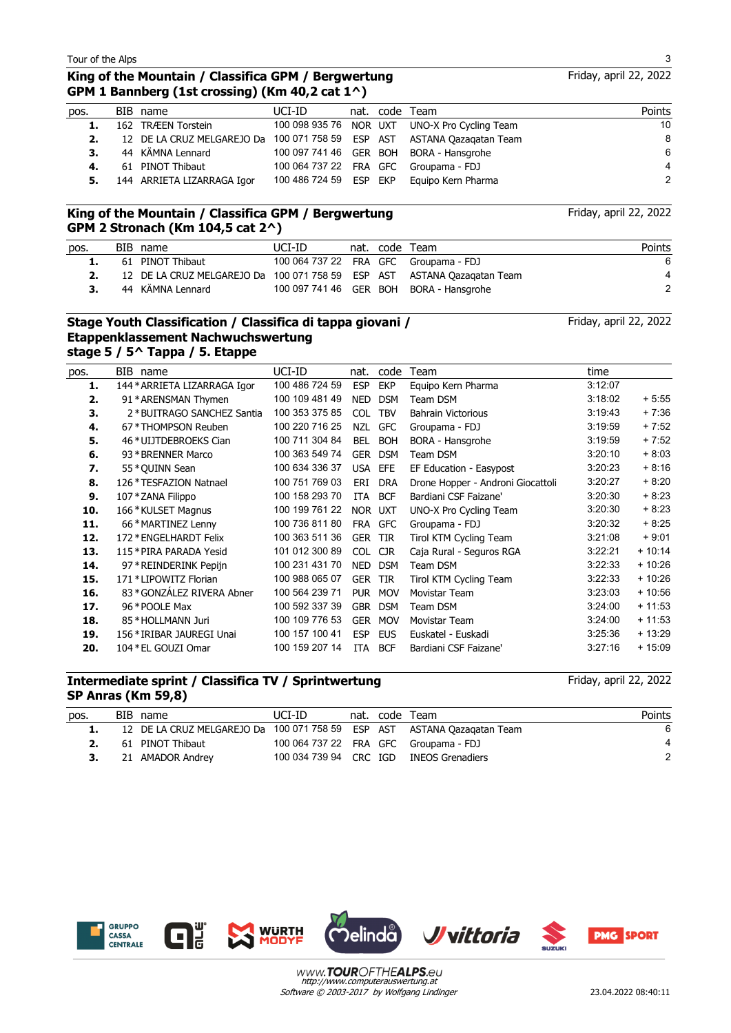Friday, april 22, 2022

## **King of the Mountain / Classifica GPM / Bergwertung GPM 1 Bannberg (1st crossing) (Km 40,2 cat 1^)**

| pos. | BIB name                                                                | UCI-ID                 |  | nat. code Team                                | Points |
|------|-------------------------------------------------------------------------|------------------------|--|-----------------------------------------------|--------|
| 1.   | 162 TRÆEN Torstein                                                      |                        |  | 100 098 935 76 NOR UXT UNO-X Pro Cycling Team | 10     |
| 2.   | 12 DE LA CRUZ MELGAREJO Da 100 071 758 59 ESP AST ASTANA Oazagatan Team |                        |  |                                               | 8      |
| 3.   | 44 KÄMNA Lennard                                                        |                        |  | 100 097 741 46 GER BOH BORA - Hansgrohe       | 6      |
| 4.   | 61 PINOT Thibaut                                                        |                        |  | 100 064 737 22 FRA GFC Groupama - FDJ         | 4      |
|      | 5. 144 ARRIETA LIZARRAGA Igor                                           | 100 486 724 59 ESP EKP |  | Eguipo Kern Pharma                            | 2      |

## **King of the Mountain / Classifica GPM / Bergwertung GPM 2 Stronach (Km 104,5 cat 2^)**

| pos. | BIB name                                                                | UCI-ID |  | nat. code Team                          | Points |
|------|-------------------------------------------------------------------------|--------|--|-----------------------------------------|--------|
|      | 61 PINOT Thibaut                                                        |        |  | 100 064 737 22 FRA GFC Groupama - FDJ   | 6      |
|      | 12 DE LA CRUZ MELGAREJO Da 100 071 758 59 ESP AST ASTANA Qazagatan Team |        |  |                                         | 4      |
| 3.   | 44 KÄMNA Lennard                                                        |        |  | 100 097 741 46 GER BOH BORA - Hansgrohe |        |

## **Stage Youth Classification / Classifica di tappa giovani / Etappenklassement Nachwuchswertung stage 5 / 5^ Tappa / 5. Etappe**

| pos. | BIB name                     | UCI-ID         | nat.       | code       | Team                              | time    |          |
|------|------------------------------|----------------|------------|------------|-----------------------------------|---------|----------|
| 1.   | 144 * ARRIETA LIZARRAGA Igor | 100 486 724 59 | <b>ESP</b> | <b>EKP</b> | Equipo Kern Pharma                | 3:12:07 |          |
| 2.   | 91 * ARENSMAN Thymen         | 100 109 481 49 | <b>NED</b> | <b>DSM</b> | Team DSM                          | 3:18:02 | $+5.55$  |
| 3.   | 2 * BUITRAGO SANCHEZ Santia  | 100 353 375 85 | <b>COL</b> | <b>TBV</b> | <b>Bahrain Victorious</b>         | 3:19:43 | $+7:36$  |
| 4.   | 67 * THOMPSON Reuben         | 100 220 716 25 | <b>NZL</b> | <b>GFC</b> | Groupama - FDJ                    | 3:19:59 | $+7:52$  |
| 5.   | 46 *UIJTDEBROEKS Cian        | 100 711 304 84 | <b>BEL</b> | <b>BOH</b> | BORA - Hansgrohe                  | 3:19:59 | $+7:52$  |
| 6.   | 93 * BRENNER Marco           | 100 363 549 74 | <b>GER</b> | <b>DSM</b> | Team DSM                          | 3:20:10 | $+8:03$  |
| 7.   | 55 * QUINN Sean              | 100 634 336 37 | <b>USA</b> | <b>EFE</b> | EF Education - Easypost           | 3:20:23 | $+8:16$  |
| 8.   | 126 * TESFAZION Natnael      | 100 751 769 03 | ERI        | <b>DRA</b> | Drone Hopper - Androni Giocattoli | 3:20:27 | $+8:20$  |
| 9.   | 107 * ZANA Filippo           | 100 158 293 70 | <b>ITA</b> | <b>BCF</b> | Bardiani CSF Faizane'             | 3:20:30 | $+8.23$  |
| 10.  | 166 * KULSET Magnus          | 100 199 761 22 |            | NOR UXT    | UNO-X Pro Cycling Team            | 3:20:30 | $+8.23$  |
| 11.  | 66 * MARTINEZ Lenny          | 100 736 811 80 | FRA        | <b>GFC</b> | Groupama - FDJ                    | 3:20:32 | $+8.25$  |
| 12.  | 172 * ENGELHARDT Felix       | 100 363 511 36 | <b>GER</b> | <b>TIR</b> | Tirol KTM Cycling Team            | 3:21:08 | $+9.01$  |
| 13.  | 115 * PIRA PARADA Yesid      | 101 012 300 89 | <b>COL</b> | <b>CJR</b> | Caja Rural - Seguros RGA          | 3:22:21 | $+10:14$ |
| 14.  | 97 * REINDERINK Pepijn       | 100 231 431 70 | <b>NED</b> | <b>DSM</b> | Team DSM                          | 3:22:33 | $+10:26$ |
| 15.  | 171 * LIPOWITZ Florian       | 100 988 065 07 | <b>GER</b> | <b>TIR</b> | Tirol KTM Cycling Team            | 3:22:33 | $+10:26$ |
| 16.  | 83 * GONZÁLEZ RIVERA Abner   | 100 564 239 71 | <b>PUR</b> | <b>MOV</b> | Movistar Team                     | 3:23:03 | $+10:56$ |
| 17.  | 96 * POOLE Max               | 100 592 337 39 | <b>GBR</b> | <b>DSM</b> | Team DSM                          | 3:24:00 | $+11:53$ |
| 18.  | 85 * HOLLMANN Juri           | 100 109 776 53 | <b>GER</b> | <b>MOV</b> | Movistar Team                     | 3:24:00 | $+11:53$ |
| 19.  | 156 * IRIBAR JAUREGI Unai    | 100 157 100 41 | <b>ESP</b> | <b>EUS</b> | Euskatel - Euskadi                | 3:25:36 | $+13:29$ |
| 20.  | 104 * EL GOUZI Omar          | 100 159 207 14 | <b>ITA</b> | <b>BCF</b> | Bardiani CSF Faizane'             | 3:27:16 | $+15:09$ |
|      |                              |                |            |            |                                   |         |          |

## **Intermediate sprint / Classifica TV / Sprintwertung SP Anras (Km 59,8)**

| pos. | BIB name                                                                | UCI-ID |  | nat. code Team                          | Points |
|------|-------------------------------------------------------------------------|--------|--|-----------------------------------------|--------|
|      | 12 DE LA CRUZ MELGAREJO Da 100 071 758 59 ESP AST ASTANA Qazagatan Team |        |  |                                         |        |
|      | 61 PINOT Thibaut                                                        |        |  | 100 064 737 22 FRA GFC Groupama - FDJ   |        |
|      | 21 AMADOR Andrey                                                        |        |  | 100 034 739 94 CRC IGD INEOS Grenadiers |        |
|      |                                                                         |        |  |                                         |        |





 $\Box$ 



Software © 2003-2017 by Wolfgang Lindinger www.**TOUR**OFTHEALPS.eu





Friday, april 22, 2022

Friday, april 22, 2022

Friday, april 22, 2022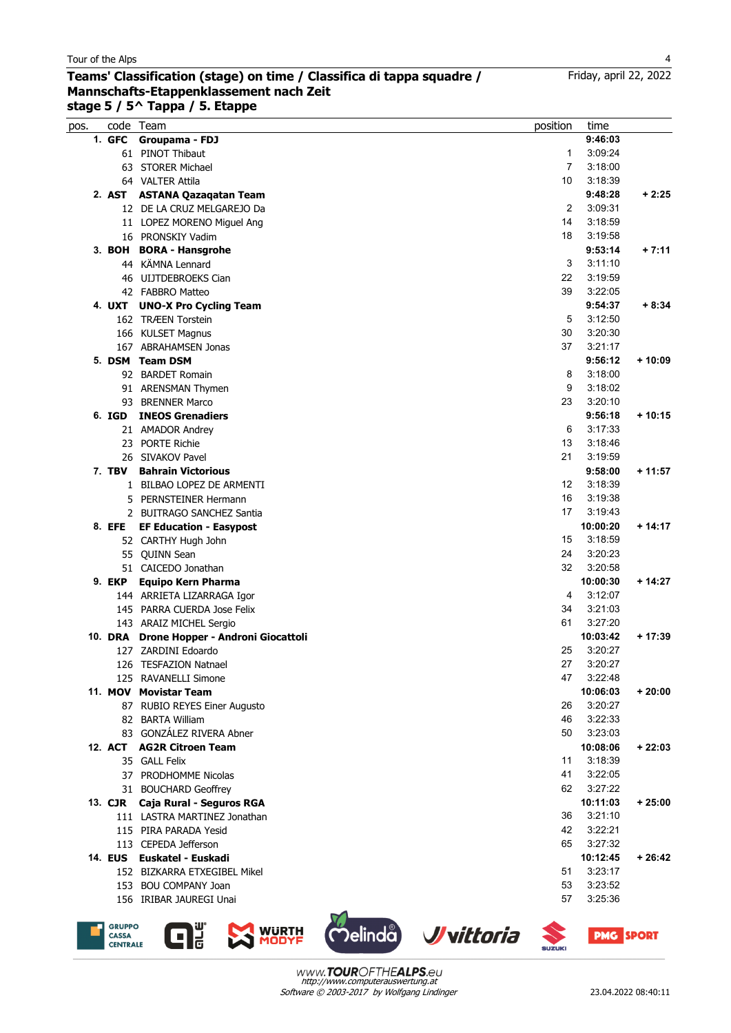#### **Teams' Classification (stage) on time / Classifica di tappa squadre / Mannschafts-Etappenklassement nach Zeit stage 5 / 5^ Tappa / 5. Etappe**

| pos. |         | code Team                         | position          | time     |          |
|------|---------|-----------------------------------|-------------------|----------|----------|
|      |         | 1. GFC Groupama - FDJ             |                   | 9:46:03  |          |
|      |         | 61 PINOT Thibaut                  | 1                 | 3:09:24  |          |
|      |         | 63 STORER Michael                 | $\overline{7}$    | 3:18:00  |          |
|      |         | 64 VALTER Attila                  | 10                | 3:18:39  |          |
|      |         | 2. AST ASTANA Qazaqatan Team      |                   | 9:48:28  | $+2:25$  |
|      |         | 12 DE LA CRUZ MELGAREJO Da        | 2                 | 3:09:31  |          |
|      |         | 11 LOPEZ MORENO Miguel Ang        | 14                | 3:18:59  |          |
|      |         | 16 PRONSKIY Vadim                 | 18                | 3:19:58  |          |
|      |         | 3. BOH BORA - Hansgrohe           |                   | 9:53:14  | $+7:11$  |
|      |         | 44 KÄMNA Lennard                  | 3                 | 3:11:10  |          |
|      |         | 46 UIJTDEBROEKS Cian              | 22                | 3:19:59  |          |
|      |         | 42 FABBRO Matteo                  | 39                | 3:22:05  |          |
|      | 4. UXT  | <b>UNO-X Pro Cycling Team</b>     |                   | 9:54:37  | $+8:34$  |
|      |         | 162 TRÆEN Torstein                | 5                 | 3:12:50  |          |
|      |         | 166 KULSET Magnus                 | 30                | 3:20:30  |          |
|      |         | 167 ABRAHAMSEN Jonas              | 37                | 3:21:17  |          |
|      |         | 5. DSM Team DSM                   |                   | 9:56:12  | $+10:09$ |
|      |         | 92 BARDET Romain                  | 8                 | 3:18:00  |          |
|      |         | 91 ARENSMAN Thymen                | 9                 | 3:18:02  |          |
|      |         | 93 BRENNER Marco                  | 23                | 3:20:10  |          |
|      | 6. IGD  | <b>INEOS Grenadiers</b>           |                   | 9:56:18  | $+10:15$ |
|      |         | 21 AMADOR Andrey                  | 6                 | 3:17:33  |          |
|      |         | 23 PORTE Richie                   | 13                | 3:18:46  |          |
|      |         | 26 SIVAKOV Pavel                  | 21                | 3:19:59  |          |
|      | 7. TBV  | <b>Bahrain Victorious</b>         |                   | 9:58:00  | $+11:57$ |
|      |         | 1 BILBAO LOPEZ DE ARMENTI         | $12 \overline{ }$ | 3:18:39  |          |
|      |         | 5 PERNSTEINER Hermann             | 16                | 3:19:38  |          |
|      |         | 2 BUITRAGO SANCHEZ Santia         | 17                | 3:19:43  |          |
|      | 8. EFE  | <b>EF Education - Easypost</b>    |                   | 10:00:20 | $+14:17$ |
|      |         | 52 CARTHY Hugh John               | 15                | 3:18:59  |          |
|      |         | 55 OUINN Sean                     | 24                | 3:20:23  |          |
|      |         | 51 CAICEDO Jonathan               | 32                | 3:20:58  |          |
|      | 9. EKP  | Equipo Kern Pharma                |                   | 10:00:30 | $+14:27$ |
|      |         | 144 ARRIETA LIZARRAGA Igor        | 4                 | 3:12:07  |          |
|      |         | 145 PARRA CUERDA Jose Felix       | 34                | 3:21:03  |          |
|      |         | 143 ARAIZ MICHEL Sergio           | 61                | 3:27:20  |          |
|      | 10. DRA | Drone Hopper - Androni Giocattoli |                   | 10:03:42 | $+17:39$ |
|      |         | 127 ZARDINI Edoardo               | 25                | 3:20:27  |          |
|      |         | 126 TESFAZION Natnael             | 27                | 3:20:27  |          |
|      |         | 125 RAVANELLI Simone              | 47                | 3:22:48  |          |
|      |         | 11. MOV Movistar Team             |                   | 10:06:03 | $+20:00$ |
|      |         | 87 RUBIO REYES Einer Augusto      | 26                | 3:20:27  |          |
|      |         | 82 BARTA William                  | 46                | 3:22:33  |          |
|      |         | 83 GONZÁLEZ RIVERA Abner          | 50                | 3:23:03  |          |
|      |         | 12. ACT AG2R Citroen Team         |                   | 10:08:06 | $+22:03$ |
|      |         | 35 GALL Felix                     | 11                | 3:18:39  |          |
|      |         | 37 PRODHOMME Nicolas              | 41                | 3:22:05  |          |
|      |         | 31 BOUCHARD Geoffrey              | 62                | 3:27:22  |          |
|      |         | 13. CJR Caja Rural - Seguros RGA  |                   | 10:11:03 | $+25:00$ |
|      |         | 111 LASTRA MARTINEZ Jonathan      | 36                | 3:21:10  |          |
|      |         | 115 PIRA PARADA Yesid             | 42                | 3:22:21  |          |
|      |         | 113 CEPEDA Jefferson              | 65                | 3:27:32  |          |
|      |         | 14. EUS Euskatel - Euskadi        |                   | 10:12:45 | $+26:42$ |
|      |         | 152 BIZKARRA ETXEGIBEL Mikel      | 51                | 3:23:17  |          |
|      |         | 153 BOU COMPANY Joan              | 53                | 3:23:52  |          |
|      |         | 156 IRIBAR JAUREGI Unai           | 57                | 3.25.36  |          |









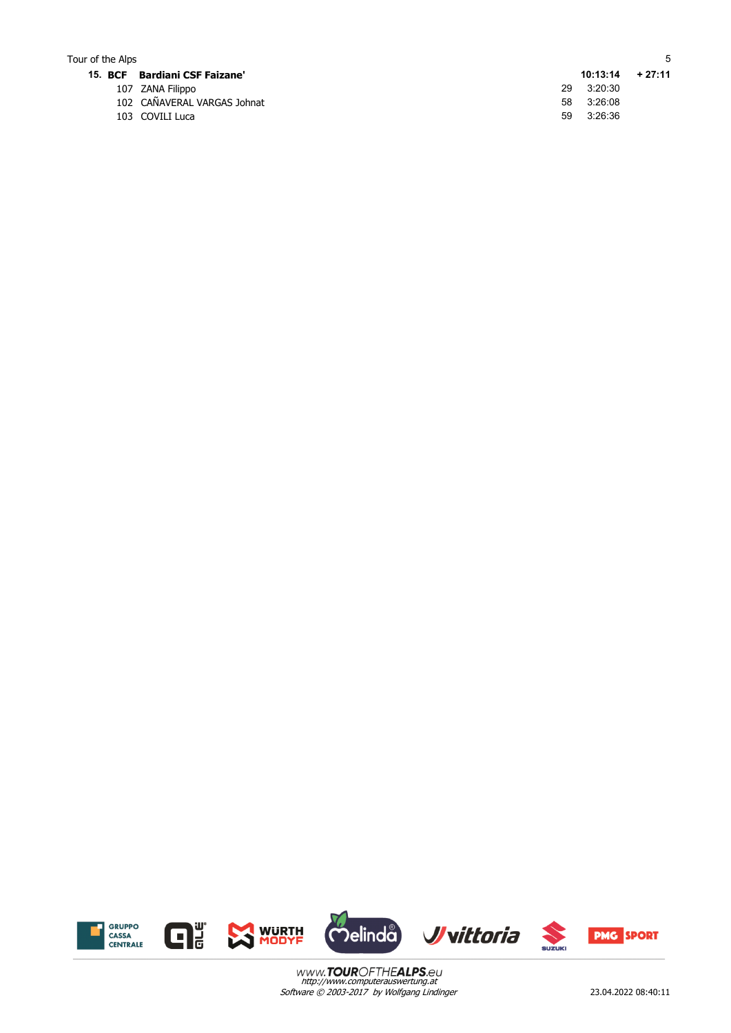## Tour of the Alps 5

- 
- 107 ZANA Filippo 29 3:20:30 102 CAÑAVERAL VARGAS Johnat 58 3:26:08<br>103 COVILI Luca 59 3:26:36
- 103 COVILI Luca

**15. BCF Bardiani CSF Faizane' 10:13:14 + 27:11**

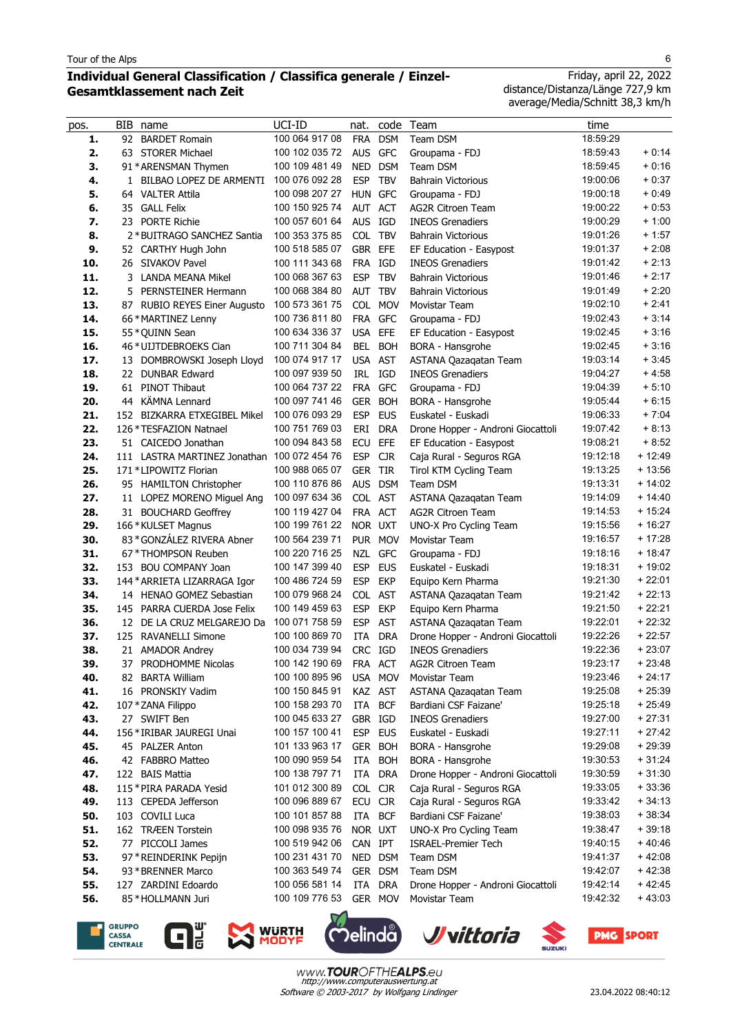$\overline{a}$ 

## **Individual General Classification / Classifica generale / Einzel-Gesamtklassement nach Zeit**

Friday, april 22, 2022 distance/Distanza/Länge 727,9 km average/Media/Schnitt 38,3 km/h

| pos.       | BIB | name                                        | UCI-ID                           | nat.               | code       | Team                                    | time                 |                      |
|------------|-----|---------------------------------------------|----------------------------------|--------------------|------------|-----------------------------------------|----------------------|----------------------|
| 1.         | 92  | <b>BARDET Romain</b>                        | 100 064 917 08                   | <b>FRA</b>         | <b>DSM</b> | Team DSM                                | 18:59:29             |                      |
| 2.         |     | 63 STORER Michael                           | 100 102 035 72                   | AUS GFC            |            | Groupama - FDJ                          | 18:59:43             | $+0.14$              |
| 3.         |     | 91 * ARENSMAN Thymen                        | 100 109 481 49                   | <b>NED</b>         | <b>DSM</b> | Team DSM                                | 18:59:45             | $+0:16$              |
| 4.         |     | 1 BILBAO LOPEZ DE ARMENTI                   | 100 076 092 28                   | <b>ESP</b>         | <b>TBV</b> | <b>Bahrain Victorious</b>               | 19:00:06             | $+0.37$              |
| 5.         |     | 64 VALTER Attila                            | 100 098 207 27                   | HUN GFC            |            | Groupama - FDJ                          | 19:00:18             | $+0.49$              |
| 6.         |     | 35 GALL Felix                               | 100 150 925 74                   | AUT ACT            |            | <b>AG2R Citroen Team</b>                | 19:00:22             | $+0.53$              |
| 7.         | 23  | <b>PORTE Richie</b>                         | 100 057 601 64                   | AUS IGD            |            | <b>INEOS Grenadiers</b>                 | 19:00:29             | $+1:00$              |
| 8.         |     | 2 * BUITRAGO SANCHEZ Santia                 | 100 353 375 85                   | COL TBV            |            | <b>Bahrain Victorious</b>               | 19:01:26             | $+1:57$              |
| 9.         |     | 52 CARTHY Hugh John                         | 100 518 585 07                   | GBR EFE            |            | EF Education - Easypost                 | 19:01:37             | $+2:08$              |
| 10.        |     | 26 SIVAKOV Pavel                            | 100 111 343 68                   | FRA IGD            |            | <b>INEOS Grenadiers</b>                 | 19:01:42             | $+2:13$              |
| 11.        |     | 3 LANDA MEANA Mikel                         | 100 068 367 63                   | <b>ESP</b>         | <b>TBV</b> | <b>Bahrain Victorious</b>               | 19:01:46             | $+2:17$              |
| 12.        |     | 5 PERNSTEINER Hermann                       | 100 068 384 80                   | AUT                | <b>TBV</b> | <b>Bahrain Victorious</b>               | 19:01:49             | $+2:20$              |
| 13.        |     | 87 RUBIO REYES Einer Augusto                | 100 573 361 75                   | <b>COL</b>         | <b>MOV</b> | Movistar Team                           | 19:02:10             | $+2:41$              |
| 14.        |     | 66 * MARTINEZ Lenny                         | 100 736 811 80                   | FRA                | <b>GFC</b> | Groupama - FDJ                          | 19:02:43             | $+3:14$              |
| 15.        |     | 55 * QUINN Sean                             | 100 634 336 37                   | <b>USA</b>         | EFE        | EF Education - Easypost                 | 19:02:45             | $+3:16$              |
| 16.        |     | 46 * UIJTDEBROEKS Cian                      | 100 711 304 84                   | <b>BEL</b>         | <b>BOH</b> | BORA - Hansgrohe                        | 19:02:45             | $+3:16$              |
| 17.        |     | 13 DOMBROWSKI Joseph Lloyd                  | 100 074 917 17                   | USA AST            |            | ASTANA Qazagatan Team                   | 19:03:14             | $+3:45$              |
| 18.        | 22  | <b>DUNBAR Edward</b>                        | 100 097 939 50                   | IRL IGD            |            | <b>INEOS Grenadiers</b>                 | 19:04:27             | $+4.58$              |
| 19.        | 61  | PINOT Thibaut                               | 100 064 737 22                   | FRA                | <b>GFC</b> | Groupama - FDJ                          | 19:04:39             | $+5.10$              |
| 20.        |     | 44 KÄMNA Lennard                            | 100 097 741 46                   | <b>GER</b>         | <b>BOH</b> | BORA - Hansgrohe                        | 19:05:44             | $+6:15$              |
| 21.        |     | 152 BIZKARRA ETXEGIBEL Mikel                | 100 076 093 29                   | <b>ESP</b>         | <b>EUS</b> | Euskatel - Euskadi                      | 19:06:33             | $+7:04$              |
| 22.        |     | 126 * TESFAZION Natnael                     | 100 751 769 03                   | ERI                | <b>DRA</b> | Drone Hopper - Androni Giocattoli       | 19:07:42             | $+8:13$              |
| 23.        |     | 51 CAICEDO Jonathan                         | 100 094 843 58                   | <b>ECU</b>         | EFE        | EF Education - Easypost                 | 19:08:21             | $+8:52$              |
| 24.        |     | 111 LASTRA MARTINEZ Jonathan 100 072 454 76 |                                  | <b>ESP</b>         | <b>CJR</b> | Caja Rural - Seguros RGA                | 19:12:18             | $+12:49$             |
| 25.        |     | 171 *LIPOWITZ Florian                       | 100 988 065 07                   | <b>GER TIR</b>     |            | Tirol KTM Cycling Team                  | 19:13:25             | $+13:56$             |
| 26.        |     | 95 HAMILTON Christopher                     | 100 110 876 86<br>100 097 634 36 | <b>AUS</b>         | <b>DSM</b> | Team DSM                                | 19:13:31             | $+14:02$             |
| 27.        |     | 11 LOPEZ MORENO Miguel Ang                  | 100 119 427 04                   | COL AST            |            | ASTANA Qazaqatan Team                   | 19:14:09             | $+14.40$<br>$+15:24$ |
| 28.<br>29. |     | 31 BOUCHARD Geoffrey<br>166 * KULSET Magnus | 100 199 761 22                   | FRA ACT<br>NOR UXT |            | <b>AG2R Citroen Team</b>                | 19:14:53<br>19:15:56 | $+16:27$             |
| 30.        |     | 83 * GONZÁLEZ RIVERA Abner                  | 100 564 239 71                   |                    | PUR MOV    | UNO-X Pro Cycling Team<br>Movistar Team | 19:16:57             | $+17:28$             |
| 31.        |     | 67 * THOMPSON Reuben                        | 100 220 716 25                   | NZL                | <b>GFC</b> | Groupama - FDJ                          | 19:18:16             | $+18:47$             |
| 32.        |     | 153 BOU COMPANY Joan                        | 100 147 399 40                   | <b>ESP</b>         | <b>EUS</b> | Euskatel - Euskadi                      | 19:18:31             | $+19:02$             |
| 33.        |     | 144 * ARRIETA LIZARRAGA Igor                | 100 486 724 59                   | <b>ESP</b>         | <b>EKP</b> | Equipo Kern Pharma                      | 19:21:30             | $+22:01$             |
| 34.        |     | 14 HENAO GOMEZ Sebastian                    | 100 079 968 24                   | COL AST            |            | ASTANA Qazaqatan Team                   | 19:21:42             | $+22:13$             |
| 35.        |     | 145 PARRA CUERDA Jose Felix                 | 100 149 459 63                   | <b>ESP</b>         | <b>EKP</b> | Equipo Kern Pharma                      | 19:21:50             | $+22:21$             |
| 36.        |     | 12 DE LA CRUZ MELGAREJO Da                  | 100 071 758 59                   | <b>ESP</b>         | <b>AST</b> | ASTANA Qazaqatan Team                   | 19:22:01             | $+22:32$             |
| 37.        |     | 125 RAVANELLI Simone                        | 100 100 869 70                   | ITA                | <b>DRA</b> | Drone Hopper - Androni Giocattoli       | 19:22:26             | $+22:57$             |
| 38.        |     | 21 AMADOR Andrey                            | 100 034 739 94                   | CRC IGD            |            | <b>INEOS Grenadiers</b>                 | 19:22:36             | $+23:07$             |
| 39.        |     | 37 PRODHOMME Nicolas                        | 100 142 190 69                   | <b>FRA</b>         | ACT        | AG2R Citroen Team                       | 19:23:17             | $+23:48$             |
| 40.        |     | 82 BARTA William                            | 100 100 895 96                   |                    | USA MOV    | Movistar Team                           | 19.23.46             | + 24:17              |
| 41.        |     | 16 PRONSKIY Vadim                           | 100 150 845 91                   | KAZ AST            |            | ASTANA Qazagatan Team                   | 19:25:08             | $+25:39$             |
| 42.        |     | 107 * ZANA Filippo                          | 100 158 293 70                   | ITA                | <b>BCF</b> | Bardiani CSF Faizane'                   | 19:25:18             | $+25:49$             |
| 43.        |     | 27 SWIFT Ben                                | 100 045 633 27                   | GBR IGD            |            | <b>INEOS Grenadiers</b>                 | 19:27:00             | $+27:31$             |
| 44.        |     | 156 * IRIBAR JAUREGI Unai                   | 100 157 100 41                   | <b>ESP</b>         | <b>EUS</b> | Euskatel - Euskadi                      | 19:27:11             | $+27:42$             |
| 45.        |     | 45 PALZER Anton                             | 101 133 963 17                   | <b>GER</b>         | <b>BOH</b> | BORA - Hansgrohe                        | 19:29:08             | $+29:39$             |
| 46.        |     | 42 FABBRO Matteo                            | 100 090 959 54                   | ITA                | <b>BOH</b> | BORA - Hansgrohe                        | 19:30:53             | $+31:24$             |
| 47.        |     | 122 BAIS Mattia                             | 100 138 797 71                   | ITA                | <b>DRA</b> | Drone Hopper - Androni Giocattoli       | 19:30:59             | $+31:30$             |
| 48.        |     | 115 * PIRA PARADA Yesid                     | 101 012 300 89                   | COL CJR            |            | Caja Rural - Seguros RGA                | 19:33:05             | $+33.36$             |
| 49.        |     | 113 CEPEDA Jefferson                        | 100 096 889 67                   | ECU CJR            |            | Caja Rural - Seguros RGA                | 19:33:42             | $+34:13$             |
| 50.        |     | 103 COVILI Luca                             | 100 101 857 88                   | ITA                | <b>BCF</b> | Bardiani CSF Faizane'                   | 19:38:03             | $+38:34$             |
| 51.        |     | 162 TRÆEN Torstein                          | 100 098 935 76                   | NOR UXT            |            | UNO-X Pro Cycling Team                  | 19:38:47             | $+39:18$             |
| 52.        |     | 77 PICCOLI James                            | 100 519 942 06                   | CAN IPT            |            | <b>ISRAEL-Premier Tech</b>              | 19:40:15             | $+40:46$             |
| 53.        |     | 97 * REINDERINK Pepijn                      | 100 231 431 70                   | NED DSM            |            | Team DSM                                | 19:41:37             | $+42:08$             |
| 54.        |     | 93 * BRENNER Marco                          | 100 363 549 74                   | GER DSM            |            | Team DSM                                | 19:42:07             | $+42:38$             |
| 55.        |     | 127 ZARDINI Edoardo                         | 100 056 581 14                   | ITA                | <b>DRA</b> | Drone Hopper - Androni Giocattoli       | 19:42:14             | $+42:45$             |
| 56.        |     | 85 * HOLLMANN Juri                          | 100 109 776 53                   |                    | GER MOV    | Movistar Team                           | 19:42:32             | $+43:03$             |

**GRUPPO<br>CASSA<br>CENTRALE** 









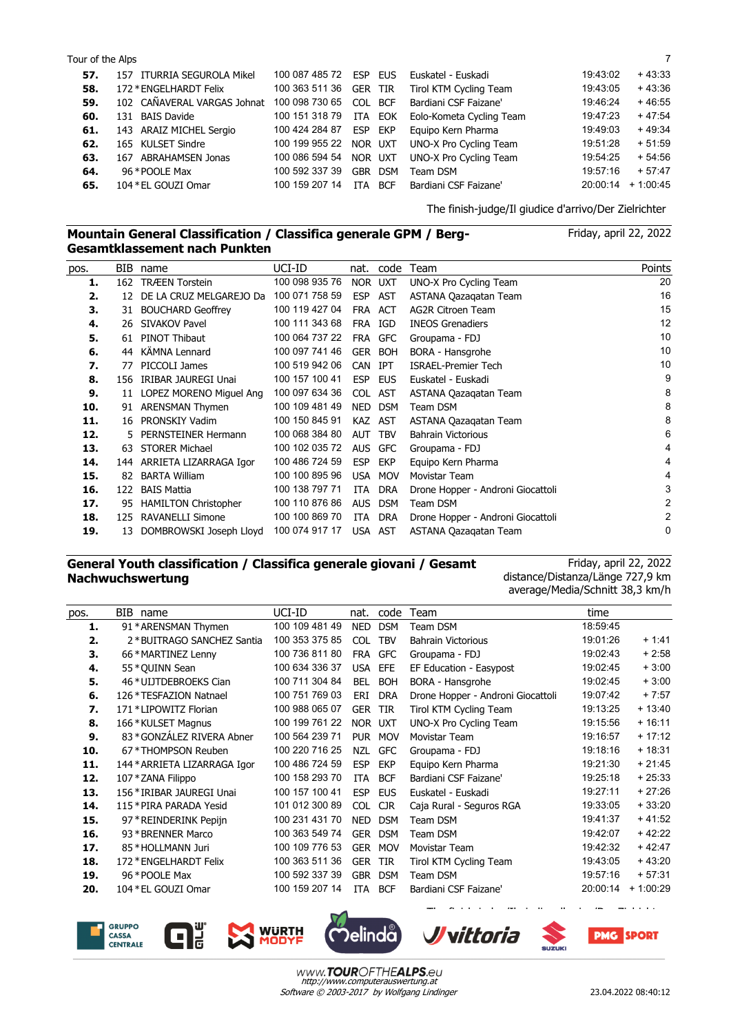| Tour of the Alps |                                                                         |  |                                               |                         |          |
|------------------|-------------------------------------------------------------------------|--|-----------------------------------------------|-------------------------|----------|
|                  | <b>57.</b> 157 ITURRIA SEGUROLA Mikel                                   |  | 100 087 485 72 ESP EUS Euskatel - Euskadi     | 19:43:02                | $+43:33$ |
|                  | 58. $172 * ENGELHARDT Felix$                                            |  | 100 363 511 36 GER TIR Tirol KTM Cycling Team | 19:43:05                | + 43:36  |
| 50.              | 102 CAÑAVERAL VARGAS Johnat 100 098 730 65 COL RCE Bardiani CSE Faizane |  |                                               | $19\,46\,24$ + $46\,55$ |          |

|     | <b>58.</b> 172 * ENGELHARDT Felix                                            |                                 | 100 363 511 36 GER TIR Tirol KTM Cycling Team   |                      | $19.43.05 + 43.36$ |
|-----|------------------------------------------------------------------------------|---------------------------------|-------------------------------------------------|----------------------|--------------------|
|     | 59. 102 CAÑAVERAL VARGAS Johnat 100 098 730 65 COL BCF Bardiani CSF Faizane' |                                 |                                                 | 19:46:24             | $+46.55$           |
|     | <b>60.</b> 131 BAIS Davide                                                   |                                 | 100 151 318 79 ITA EOK Eolo-Kometa Cycling Team | 19:47:23             | $+47:54$           |
|     | 61. 143 ARAIZ MICHEL Sergio                                                  |                                 | 100 424 284 87 ESP EKP Equipo Kern Pharma       | 19:49:03             | $+49.34$           |
|     | 62. 165 KULSET Sindre                                                        |                                 | 100 199 955 22 NOR UXT UNO-X Pro Cycling Team   | 19:51:28             | $+51:59$           |
|     | 63. 167 ABRAHAMSEN Jonas                                                     |                                 | 100 086 594 54 NOR UXT UNO-X Pro Cycling Team   | 19:54:25             | + 54:56            |
| 64. | 96 * POOLE Max                                                               | 100 592 337 39 GBR DSM Team DSM |                                                 | 19:57:16             | $+57:47$           |
|     | 65. 104 * EL GOUZI Omar                                                      |                                 | 100 159 207 14 ITA BCF Bardiani CSF Faizane'    | $20:00:14$ + 1:00:45 |                    |
|     |                                                                              |                                 |                                                 |                      |                    |

## **Mountain General Classification / Classifica generale GPM / Berg-Gesamtklassement nach Punkten**

Friday, april 22, 2022

The finish-judge/Il giudice d'arrivo/Der Zielrichter

| pos. | BIB. | name                        | UCI-ID         | nat.       | code       | Team                              | Points |
|------|------|-----------------------------|----------------|------------|------------|-----------------------------------|--------|
| 1.   | 162  | <b>TRÆEN Torstein</b>       | 100 098 935 76 | NOR UXT    |            | UNO-X Pro Cycling Team            | 20     |
| 2.   | 12   | DE LA CRUZ MELGAREJO Da     | 100 071 758 59 | <b>ESP</b> | AST        | ASTANA Qazagatan Team             | 16     |
| 3.   | 31   | <b>BOUCHARD Geoffrey</b>    | 100 119 427 04 | <b>FRA</b> | ACT        | <b>AG2R Citroen Team</b>          | 15     |
| 4.   | 26   | <b>SIVAKOV Pavel</b>        | 100 111 343 68 | <b>FRA</b> | IGD        | <b>INEOS Grenadiers</b>           | 12     |
| 5.   |      | 61 PINOT Thibaut            | 100 064 737 22 |            | FRA GFC    | Groupama - FDJ                    | 10     |
| 6.   | 44   | KÄMNA Lennard               | 100 097 741 46 |            | GER BOH    | BORA - Hansgrohe                  | 10     |
| 7.   | 77   | PICCOLI James               | 100 519 942 06 | <b>CAN</b> | <b>IPT</b> | <b>ISRAEL-Premier Tech</b>        | 10     |
| 8.   | 156  | IRIBAR JAUREGI Unai         | 100 157 100 41 | <b>ESP</b> | <b>EUS</b> | Euskatel - Euskadi                | 9      |
| 9.   | 11   | LOPEZ MORENO Miguel Ang     | 100 097 634 36 | COL AST    |            | ASTANA Qazagatan Team             | 8      |
| 10.  | 91   | <b>ARENSMAN Thymen</b>      | 100 109 481 49 | NED        | <b>DSM</b> | Team DSM                          | 8      |
| 11.  | 16   | PRONSKIY Vadim              | 100 150 845 91 |            | KAZ AST    | ASTANA Qazagatan Team             | 8      |
| 12.  | 5.   | PERNSTEINER Hermann         | 100 068 384 80 | <b>AUT</b> | <b>TBV</b> | <b>Bahrain Victorious</b>         | 6      |
| 13.  | 63   | <b>STORER Michael</b>       | 100 102 035 72 | <b>AUS</b> | <b>GFC</b> | Groupama - FDJ                    | 4      |
| 14.  |      | 144 ARRIETA LIZARRAGA Igor  | 100 486 724 59 | <b>ESP</b> | <b>EKP</b> | Equipo Kern Pharma                | 4      |
| 15.  | 82   | <b>BARTA William</b>        | 100 100 895 96 | <b>USA</b> | <b>MOV</b> | Movistar Team                     | 4      |
| 16.  | 122  | <b>BAIS Mattia</b>          | 100 138 797 71 | <b>ITA</b> | <b>DRA</b> | Drone Hopper - Androni Giocattoli | 3      |
| 17.  | 95   | <b>HAMILTON Christopher</b> | 100 110 876 86 | <b>AUS</b> | <b>DSM</b> | Team DSM                          | 2      |
| 18.  | 125  | <b>RAVANELLI Simone</b>     | 100 100 869 70 | <b>ITA</b> | DRA        | Drone Hopper - Androni Giocattoli | 2      |
| 19.  | 13   | DOMBROWSKI Joseph Lloyd     | 100 074 917 17 | USA AST    |            | ASTANA Qazagatan Team             | 0      |

## **General Youth classification / Classifica generale giovani / Gesamt Nachwuchswertung**

Friday, april 22, 2022 distance/Distanza/Länge 727,9 km average/Media/Schnitt 38,3 km/h

| pos. | BIB name                     | UCI-ID         | nat.       | code       | Team                              | time     |            |
|------|------------------------------|----------------|------------|------------|-----------------------------------|----------|------------|
| 1.   | 91 * ARENSMAN Thymen         | 100 109 481 49 | <b>NED</b> | <b>DSM</b> | Team DSM                          | 18:59:45 |            |
| 2.   | 2 * BUITRAGO SANCHEZ Santia  | 100 353 375 85 | <b>COL</b> | <b>TBV</b> | <b>Bahrain Victorious</b>         | 19:01:26 | $+1.41$    |
| З.   | 66 * MARTINEZ Lenny          | 100 736 811 80 | FRA        | <b>GFC</b> | Groupama - FDJ                    | 19:02:43 | $+2:58$    |
| 4.   | 55 * QUINN Sean              | 100 634 336 37 | <b>USA</b> | EFE        | EF Education - Easypost           | 19:02:45 | $+3:00$    |
| 5.   | 46 * UIJTDEBROEKS Cian       | 100 711 304 84 | <b>BEL</b> | <b>BOH</b> | BORA - Hansgrohe                  | 19:02:45 | $+3:00$    |
| 6.   | 126 * TESFAZION Natnael      | 100 751 769 03 | ERI        | <b>DRA</b> | Drone Hopper - Androni Giocattoli | 19:07:42 | $+7:57$    |
| 7.   | 171 * LIPOWITZ Florian       | 100 988 065 07 | <b>GER</b> | TIR        | Tirol KTM Cycling Team            | 19:13:25 | $+13:40$   |
| 8.   | 166 * KULSET Magnus          | 100 199 761 22 |            | NOR UXT    | UNO-X Pro Cycling Team            | 19:15:56 | $+16:11$   |
| 9.   | 83 * GONZÁLEZ RIVERA Abner   | 100 564 239 71 | <b>PUR</b> | <b>MOV</b> | Movistar Team                     | 19:16:57 | $+17:12$   |
| 10.  | 67 * THOMPSON Reuben         | 100 220 716 25 | <b>NZL</b> | <b>GFC</b> | Groupama - FDJ                    | 19:18:16 | $+18:31$   |
| 11.  | 144 * ARRIETA LIZARRAGA Igor | 100 486 724 59 | <b>ESP</b> | EKP        | Equipo Kern Pharma                | 19:21:30 | $+21:45$   |
| 12.  | 107 * ZANA Filippo           | 100 158 293 70 | ITA.       | <b>BCF</b> | Bardiani CSF Faizane'             | 19:25:18 | $+25:33$   |
| 13.  | 156 * IRIBAR JAUREGI Unai    | 100 157 100 41 | <b>ESP</b> | <b>EUS</b> | Euskatel - Euskadi                | 19:27:11 | $+27:26$   |
| 14.  | 115 * PIRA PARADA Yesid      | 101 012 300 89 | <b>COL</b> | <b>CJR</b> | Caja Rural - Seguros RGA          | 19:33:05 | $+33:20$   |
| 15.  | 97 * REINDERINK Pepijn       | 100 231 431 70 | <b>NED</b> | <b>DSM</b> | Team DSM                          | 19:41:37 | $+41:52$   |
| 16.  | 93 * BRENNER Marco           | 100 363 549 74 | <b>GER</b> | <b>DSM</b> | Team DSM                          | 19:42:07 | $+42:22$   |
| 17.  | 85 * HOLLMANN Juri           | 100 109 776 53 | <b>GER</b> | <b>MOV</b> | Movistar Team                     | 19:42:32 | $+42:47$   |
| 18.  | 172 * ENGELHARDT Felix       | 100 363 511 36 | <b>GER</b> | <b>TIR</b> | Tirol KTM Cycling Team            | 19:43:05 | $+43:20$   |
| 19.  | 96 * POOLE Max               | 100 592 337 39 | <b>GBR</b> | <b>DSM</b> | Team DSM                          | 19:57:16 | $+57:31$   |
| 20.  | 104 * EL GOUZI Omar          | 100 159 207 14 | <b>ITA</b> | <b>BCF</b> | Bardiani CSF Faizane'             | 20:00:14 | $+1:00:29$ |
|      |                              |                |            |            |                                   |          |            |









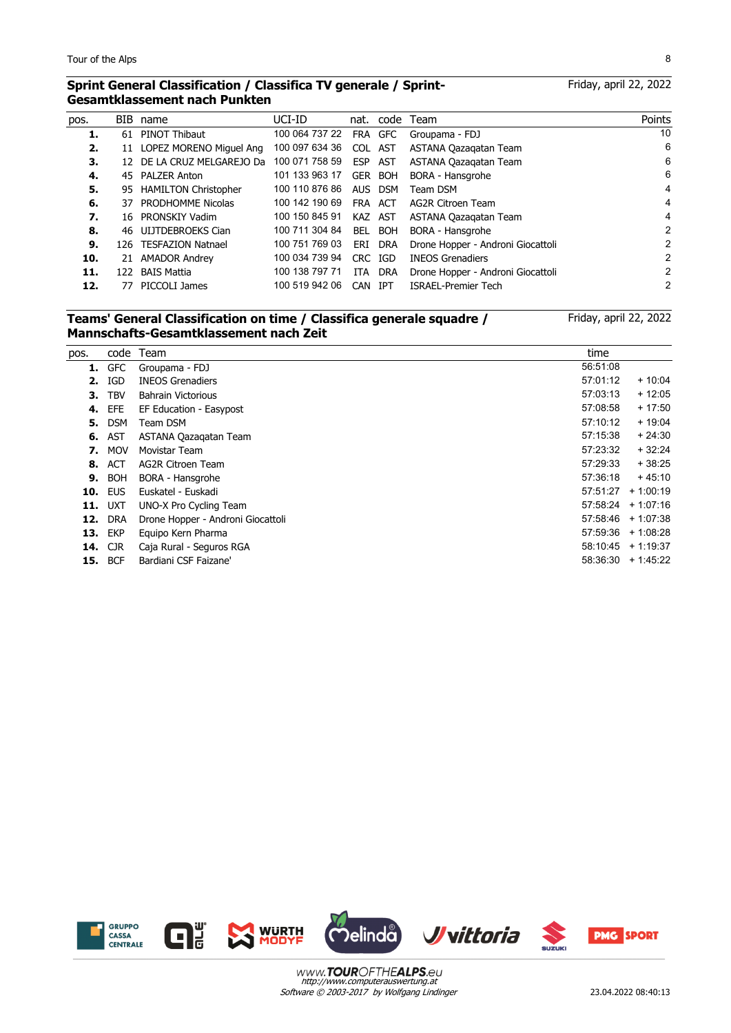l,

#### **Sprint General Classification / Classifica TV generale / Sprint-Gesamtklassement nach Punkten**

Friday, april 22, 2022

| pos. |      | BIB name                   | UCI-ID         |            |            | nat. code Team                    | Points         |
|------|------|----------------------------|----------------|------------|------------|-----------------------------------|----------------|
| 1.   |      | 61 PINOT Thibaut           | 100 064 737 22 |            | FRA GFC    | Groupama - FDJ                    | 10             |
| 2.   |      | 11 LOPEZ MORENO Miguel Ang | 100 097 634 36 | COL AST    |            | ASTANA Qazagatan Team             | 6              |
| 3.   |      | 12 DE LA CRUZ MELGAREJO Da | 100 071 758 59 | ESP        | AST        | ASTANA Qazagatan Team             | 6              |
| 4.   |      | 45 PALZER Anton            | 101 133 963 17 |            | GER BOH    | BORA - Hansgrohe                  | 6              |
| 5.   |      | 95 HAMILTON Christopher    | 100 110 876 86 | AUS.       | <b>DSM</b> | Team DSM                          | 4              |
| 6.   |      | 37 PRODHOMME Nicolas       | 100 142 190 69 | FRA ACT    |            | AG2R Citroen Team                 | 4              |
| 7.   |      | 16 PRONSKIY Vadim          | 100 150 845 91 | KAZ AST    |            | ASTANA Qazagatan Team             | 4              |
| 8.   |      | 46 UIJTDEBROEKS Cian       | 100 711 304 84 |            | BEL BOH    | BORA - Hansgrohe                  | $\mathfrak{p}$ |
| 9.   |      | 126 TESFAZION Natnael      | 100 751 769 03 | ERI        | DRA        | Drone Hopper - Androni Giocattoli | 2              |
| 10.  | 21   | <b>AMADOR Andrey</b>       | 100 034 739 94 | CRC IGD    |            | <b>INEOS Grenadiers</b>           | 2              |
| 11.  | 122. | BAIS Mattia                | 100 138 797 71 |            | ITA DRA    | Drone Hopper - Androni Giocattoli | 2              |
| 12.  | 77   | PICCOLI James              | 100 519 942 06 | <b>CAN</b> | IPT        | <b>ISRAEL-Premier Tech</b>        | 2              |
|      |      |                            |                |            |            |                                   |                |

## **Teams' General Classification on time / Classifica generale squadre / Mannschafts-Gesamtklassement nach Zeit**

Friday, april 22, 2022

| pos. | code           | Team                              | time     |                      |
|------|----------------|-----------------------------------|----------|----------------------|
| 1.   | <b>GFC</b>     | Groupama - FDJ                    | 56:51:08 |                      |
| 2.   | IGD            | <b>INEOS Grenadiers</b>           | 57:01:12 | $+10:04$             |
| З.   | <b>TBV</b>     | <b>Bahrain Victorious</b>         | 57:03:13 | $+12:05$             |
|      | <b>4. EFE</b>  | EF Education - Easypost           | 57:08:58 | $+17:50$             |
| 5.   | <b>DSM</b>     | Team DSM                          | 57:10:12 | $+19:04$             |
| 6.   | AST            | ASTANA Qazagatan Team             | 57:15:38 | $+24:30$             |
|      | <b>7.</b> MOV  | Movistar Team                     | 57:23:32 | $+32:24$             |
| 8.   | ACT            | AG2R Citroen Team                 | 57:29:33 | $+38:25$             |
|      | <b>9. BOH</b>  | BORA - Hansgrohe                  | 57:36:18 | $+45:10$             |
|      | <b>10. EUS</b> | Euskatel - Euskadi                | 57:51:27 | $+1:00:19$           |
|      | <b>11.</b> UXT | UNO-X Pro Cycling Team            |          | $57:58:24$ + 1:07:16 |
| 12.  | <b>DRA</b>     | Drone Hopper - Androni Giocattoli |          | $57:58:46$ + 1:07:38 |
|      | <b>13. EKP</b> | Equipo Kern Pharma                |          | $57:59:36$ + 1:08:28 |
|      | <b>14. CJR</b> | Caja Rural - Seguros RGA          |          | $58:10:45 + 1:19:37$ |
|      | <b>15. BCF</b> | Bardiani CSF Faizane'             | 58:36:30 | $+1.45.22$           |